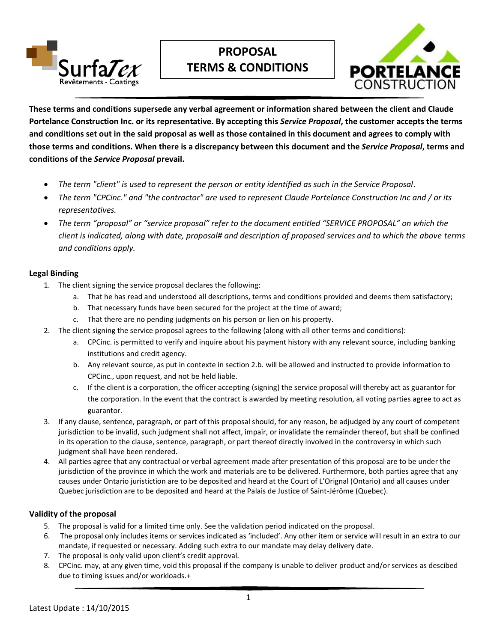

# **PROPOSAL TERMS & CONDITIONS**



**These terms and conditions supersede any verbal agreement or information shared between the client and Claude Portelance Construction Inc. or its representative. By accepting this** *Service Proposal***, the customer accepts the terms and conditions set out in the said proposal as well as those contained in this document and agrees to comply with those terms and conditions. When there is a discrepancy between this document and the** *Service Proposal***, terms and conditions of the** *Service Proposal* **prevail.**

- *The term "client" is used to represent the person or entity identified as such in the Service Proposal.*
- *The term "CPCinc." and "the contractor" are used to represent Claude Portelance Construction Inc and / or its representatives.*
- *The term "proposal" or "service proposal" refer to the document entitled "SERVICE PROPOSAL" on which the client is indicated, along with date, proposal# and description of proposed services and to which the above terms and conditions apply.*

### **Legal Binding**

- 1. The client signing the service proposal declares the following:
	- a. That he has read and understood all descriptions, terms and conditions provided and deems them satisfactory;
	- b. That necessary funds have been secured for the project at the time of award;
	- c. That there are no pending judgments on his person or lien on his property.
- 2. The client signing the service proposal agrees to the following (along with all other terms and conditions):
	- a. CPCinc. is permitted to verify and inquire about his payment history with any relevant source, including banking institutions and credit agency.
	- b. Any relevant source, as put in contexte in section 2.b. will be allowed and instructed to provide information to CPCinc., upon request, and not be held liable.
	- c. If the client is a corporation, the officer accepting (signing) the service proposal will thereby act as guarantor for the corporation. In the event that the contract is awarded by meeting resolution, all voting parties agree to act as guarantor.
- 3. If any clause, sentence, paragraph, or part of this proposal should, for any reason, be adjudged by any court of competent jurisdiction to be invalid, such judgment shall not affect, impair, or invalidate the remainder thereof, but shall be confined in its operation to the clause, sentence, paragraph, or part thereof directly involved in the controversy in which such judgment shall have been rendered.
- 4. All parties agree that any contractual or verbal agreement made after presentation of this proposal are to be under the jurisdiction of the province in which the work and materials are to be delivered. Furthermore, both parties agree that any causes under Ontario juristiction are to be deposited and heard at the Court of L'Orignal (Ontario) and all causes under Quebec jurisdiction are to be deposited and heard at the Palais de Justice of Saint-Jérôme (Quebec).

### **Validity of the proposal**

- 5. The proposal is valid for a limited time only. See the validation period indicated on the proposal.
- 6. The proposal only includes items or services indicated as 'included'. Any other item or service will result in an extra to our mandate, if requested or necessary. Adding such extra to our mandate may delay delivery date.
- 7. The proposal is only valid upon client's credit approval.
- 8. CPCinc. may, at any given time, void this proposal if the company is unable to deliver product and/or services as descibed due to timing issues and/or workloads.+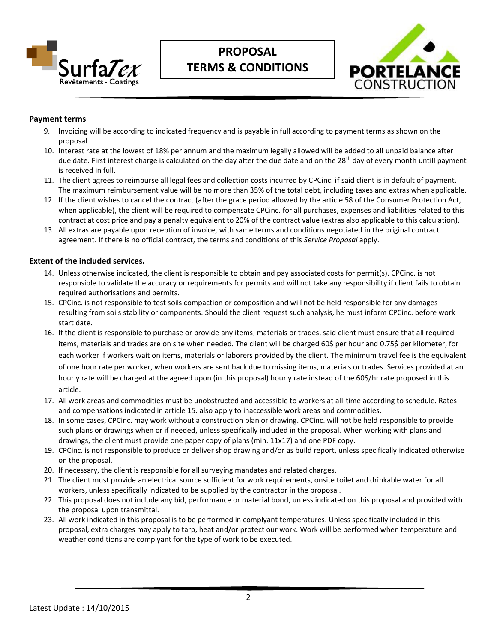

## **PROPOSAL TERMS & CONDITIONS**



#### **Payment terms**

- 9. Invoicing will be according to indicated frequency and is payable in full according to payment terms as shown on the proposal.
- 10. Interest rate at the lowest of 18% per annum and the maximum legally allowed will be added to all unpaid balance after due date. First interest charge is calculated on the day after the due date and on the 28<sup>th</sup> day of every month untill payment is received in full.
- 11. The client agrees to reimburse all legal fees and collection costs incurred by CPCinc. if said client is in default of payment. The maximum reimbursement value will be no more than 35% of the total debt, including taxes and extras when applicable.
- 12. If the client wishes to cancel the contract (after the grace period allowed by the article 58 of the Consumer Protection Act, when applicable), the client will be required to compensate CPCinc. for all purchases, expenses and liabilities related to this contract at cost price and pay a penalty equivalent to 20% of the contract value (extras also applicable to this calculation).
- 13. All extras are payable upon reception of invoice, with same terms and conditions negotiated in the original contract agreement. If there is no official contract, the terms and conditions of this *Service Proposal* apply.

#### **Extent of the included services.**

- 14. Unless otherwise indicated, the client is responsible to obtain and pay associated costs for permit(s). CPCinc. is not responsible to validate the accuracy or requirements for permits and will not take any responsibility if client fails to obtain required authorisations and permits.
- 15. CPCinc. is not responsible to test soils compaction or composition and will not be held responsible for any damages resulting from soils stability or components. Should the client request such analysis, he must inform CPCinc. before work start date.
- 16. If the client is responsible to purchase or provide any items, materials or trades, said client must ensure that all required items, materials and trades are on site when needed. The client will be charged 60\$ per hour and 0.75\$ per kilometer, for each worker if workers wait on items, materials or laborers provided by the client. The minimum travel fee is the equivalent of one hour rate per worker, when workers are sent back due to missing items, materials or trades. Services provided at an hourly rate will be charged at the agreed upon (in this proposal) hourly rate instead of the 60\$/hr rate proposed in this article.
- 17. All work areas and commodities must be unobstructed and accessible to workers at all-time according to schedule. Rates and compensations indicated in article 15. also apply to inaccessible work areas and commodities.
- 18. In some cases, CPCinc. may work without a construction plan or drawing. CPCinc. will not be held responsible to provide such plans or drawings when or if needed, unless specifically included in the proposal. When working with plans and drawings, the client must provide one paper copy of plans (min. 11x17) and one PDF copy.
- 19. CPCinc. is not responsible to produce or deliver shop drawing and/or as build report, unless specifically indicated otherwise on the proposal.
- 20. If necessary, the client is responsible for all surveying mandates and related charges.
- 21. The client must provide an electrical source sufficient for work requirements, onsite toilet and drinkable water for all workers, unless specifically indicated to be supplied by the contractor in the proposal.
- 22. This proposal does not include any bid, performance or material bond, unless indicated on this proposal and provided with the proposal upon transmittal.
- 23. All work indicated in this proposal is to be performed in complyant temperatures. Unless specifically included in this proposal, extra charges may apply to tarp, heat and/or protect our work. Work will be performed when temperature and weather conditions are complyant for the type of work to be executed.